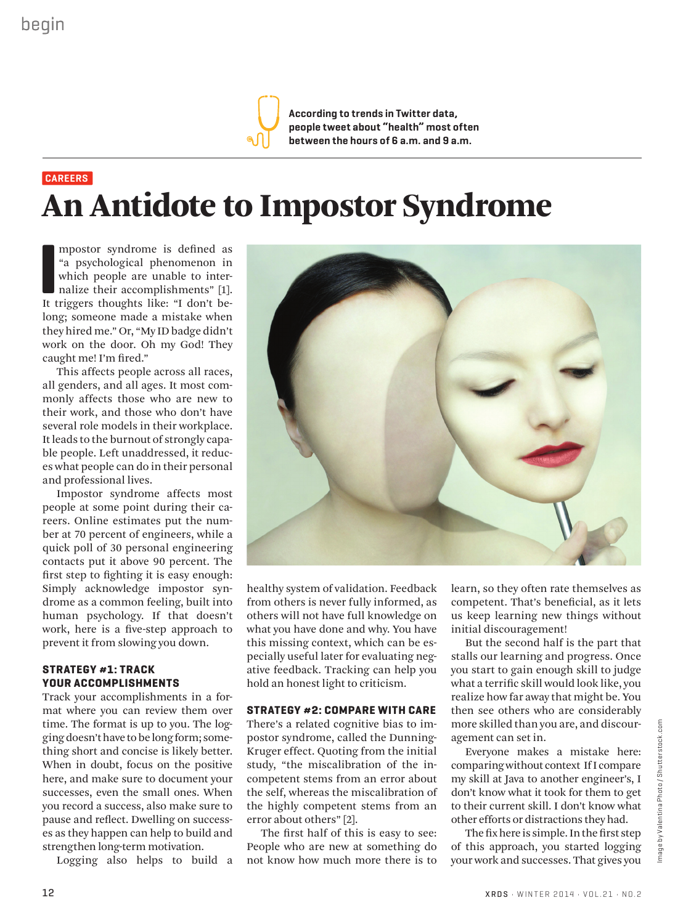

# An Antidote to Impostor Syndrome **CAREERS**

**II** mpostor syndrome is defined as<br>
"a psychological phenomenon in<br>
which people are unable to inter-<br>
nalize their accomplishments" [1].<br>
It triggers thoughts like: "I don't bempostor syndrome is defined as "a psychological phenomenon in which people are unable to internalize their accomplishments" [1]. long; someone made a mistake when they hired me." Or, "My ID badge didn't work on the door. Oh my God! They caught me! I'm fired."

This affects people across all races, all genders, and all ages. It most commonly affects those who are new to their work, and those who don't have several role models in their workplace. It leads to the burnout of strongly capable people. Left unaddressed, it reduces what people can do in their personal and professional lives.

Impostor syndrome affects most people at some point during their careers. Online estimates put the number at 70 percent of engineers, while a quick poll of 30 personal engineering contacts put it above 90 percent. The first step to fighting it is easy enough: Simply acknowledge impostor syndrome as a common feeling, built into human psychology. If that doesn't work, here is a five-step approach to prevent it from slowing you down.

## **STRATEGY #1: TRACK YOUR ACCOMPLISHMENTS**

Track your accomplishments in a format where you can review them over time. The format is up to you. The logging doesn't have to be long form; something short and concise is likely better. When in doubt, focus on the positive here, and make sure to document your successes, even the small ones. When you record a success, also make sure to pause and reflect. Dwelling on successes as they happen can help to build and strengthen long-term motivation.

Logging also helps to build a



healthy system of validation. Feedback from others is never fully informed, as others will not have full knowledge on what you have done and why. You have this missing context, which can be especially useful later for evaluating negative feedback. Tracking can help you hold an honest light to criticism.

## **STRATEGY #2: COMPARE WITH CARE**

There's a related cognitive bias to impostor syndrome, called the Dunning-Kruger effect. Quoting from the initial study, "the miscalibration of the incompetent stems from an error about the self, whereas the miscalibration of the highly competent stems from an error about others" [2].

The first half of this is easy to see: People who are new at something do not know how much more there is to

learn, so they often rate themselves as competent. That's beneficial, as it lets us keep learning new things without initial discouragement!

But the second half is the part that stalls our learning and progress. Once you start to gain enough skill to judge what a terrific skill would look like, you realize how far away that might be. You then see others who are considerably more skilled than you are, and discouragement can set in.

Everyone makes a mistake here: comparing without context If I compare my skill at Java to another engineer's, I don't know what it took for them to get to their current skill. I don't know what other efforts or distractions they had.

The fix here is simple. In the first step of this approach, you started logging your work and successes. That gives you